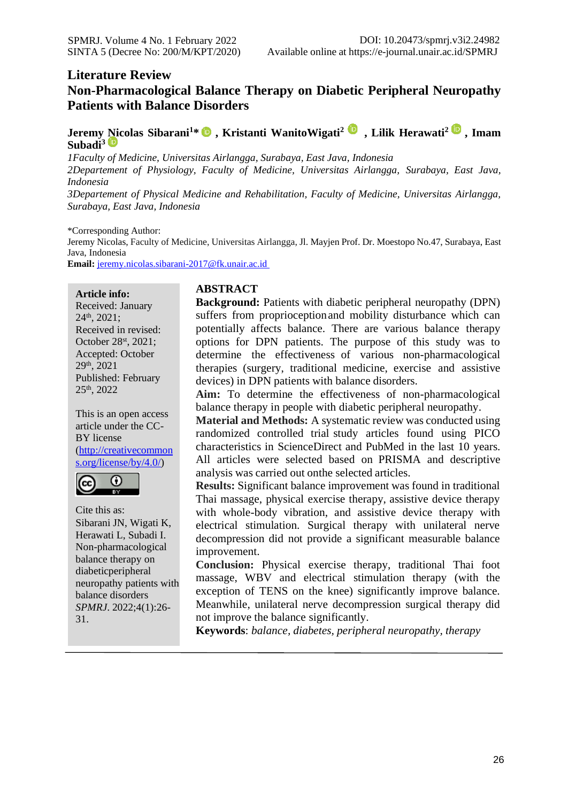# **Literature Review**

**Non-Pharmacological Balance Therapy on Diabetic Peripheral Neuropathy Patients with Balance Disorders**

**Jeremy [Ni](https://orcid.org/0000-0003-3660-2583)colas Sibarani<sup>1</sup> \*, Kristanti WanitoWigati<sup>2</sup> , Lilik Herawati2, Imam Subadi<sup>3</sup>**

*1Faculty of Medicine, Universitas Airlangga, Surabaya, East Java, Indonesia 2Departement of Physiology, Faculty of Medicine, Universitas Airlangga, Surabaya, East Java, Indonesia* 

*3Departement of Physical Medicine and Rehabilitation, Faculty of Medicine, Universitas Airlangga, Surabaya, East Java, Indonesia*

\*Corresponding Author:

Jeremy Nicolas, Faculty of Medicine, Universitas Airlangga, Jl. Mayjen Prof. Dr. Moestopo No.47, Surabaya, East Java, Indonesia

**Email:** [jeremy.nicolas.sibarani-2017@fk.unair.ac.id](mailto:jeremy.nicolas.sibarani-2017@fk.unair.ac.id)

#### **Article info:**

Received: January 24 th , 2021; Received in revised: October 28st , 2021; Accepted: October 29th , 2021 Published: February 25th, 2022

This is an open access article under the CC-BY license [\(http://creativecommon](http://creativecommons.org/license/by/4.0/) [s.org/license/by/4.0/\)](http://creativecommons.org/license/by/4.0/)



Cite this as: Sibarani JN, Wigati K, Herawati L, Subadi I. Non-pharmacological balance therapy on diabeticperipheral neuropathy patients with balance disorders *SPMRJ*. 2022;4(1):26- 31.

#### **ABSTRACT**

**Background:** Patients with diabetic peripheral neuropathy (DPN) suffers from proprioceptionand mobility disturbance which can potentially affects balance. There are various balance therapy options for DPN patients. The purpose of this study was to determine the effectiveness of various non-pharmacological therapies (surgery, traditional medicine, exercise and assistive devices) in DPN patients with balance disorders.

**Aim:** To determine the effectiveness of non-pharmacological balance therapy in people with diabetic peripheral neuropathy.

**Material and Methods:** A systematic review was conducted using randomized controlled trial study articles found using PICO characteristics in ScienceDirect and PubMed in the last 10 years. All articles were selected based on PRISMA and descriptive analysis was carried out onthe selected articles.

**Results:** Significant balance improvement was found in traditional Thai massage, physical exercise therapy, assistive device therapy with whole-body vibration, and assistive device therapy with electrical stimulation. Surgical therapy with unilateral nerve decompression did not provide a significant measurable balance improvement.

**Conclusion:** Physical exercise therapy, traditional Thai foot massage, WBV and electrical stimulation therapy (with the exception of TENS on the knee) significantly improve balance. Meanwhile, unilateral nerve decompression surgical therapy did not improve the balance significantly.

**Keywords**: *balance, diabetes, peripheral neuropathy, therapy*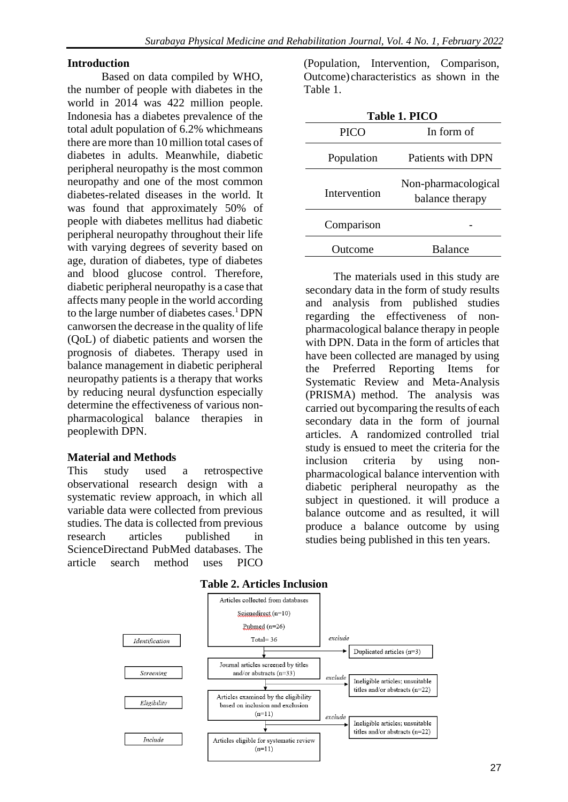### **Introduction**

Based on data compiled by WHO, the number of people with diabetes in the world in 2014 was 422 million people. Indonesia has a diabetes prevalence of the total adult population of 6.2% whichmeans there are more than 10 million total cases of diabetes in adults. Meanwhile, diabetic peripheral neuropathy is the most common neuropathy and one of the most common diabetes-related diseases in the world. It was found that approximately 50% of people with diabetes mellitus had diabetic peripheral neuropathy throughout their life with varying degrees of severity based on age, duration of diabetes, type of diabetes and blood glucose control. Therefore, diabetic peripheral neuropathy is a case that affects many people in the world according to the large number of diabetes cases.<sup>1</sup> DPN canworsen the decrease in the quality of life (QoL) of diabetic patients and worsen the prognosis of diabetes. Therapy used in balance management in diabetic peripheral neuropathy patients is a therapy that works by reducing neural dysfunction especially determine the effectiveness of various nonpharmacological balance therapies in peoplewith DPN.

### **Material and Methods**

This study used a retrospective observational research design with a systematic review approach, in which all variable data were collected from previous studies. The data is collected from previous research articles published in ScienceDirectand PubMed databases. The article search method uses PICO (Population, Intervention, Comparison, Outcome)characteristics as shown in the Table 1.

| Table 1. PICO |                                        |  |  |  |  |
|---------------|----------------------------------------|--|--|--|--|
| <b>PICO</b>   | In form of                             |  |  |  |  |
| Population    | Patients with DPN                      |  |  |  |  |
| Intervention  | Non-pharmacological<br>balance therapy |  |  |  |  |
| Comparison    |                                        |  |  |  |  |
| )utcome       | <b>Balance</b>                         |  |  |  |  |

The materials used in this study are secondary data in the form of study results and analysis from published studies regarding the effectiveness of nonpharmacological balance therapy in people with DPN. Data in the form of articles that have been collected are managed by using the Preferred Reporting Items for Systematic Review and Meta-Analysis (PRISMA) method. The analysis was carried out bycomparing the results of each secondary data in the form of journal articles. A randomized controlled trial study is ensued to meet the criteria for the inclusion criteria by using nonpharmacological balance intervention with diabetic peripheral neuropathy as the subject in questioned. it will produce a balance outcome and as resulted, it will produce a balance outcome by using studies being published in this ten years.



#### **Table 2. Articles Inclusion**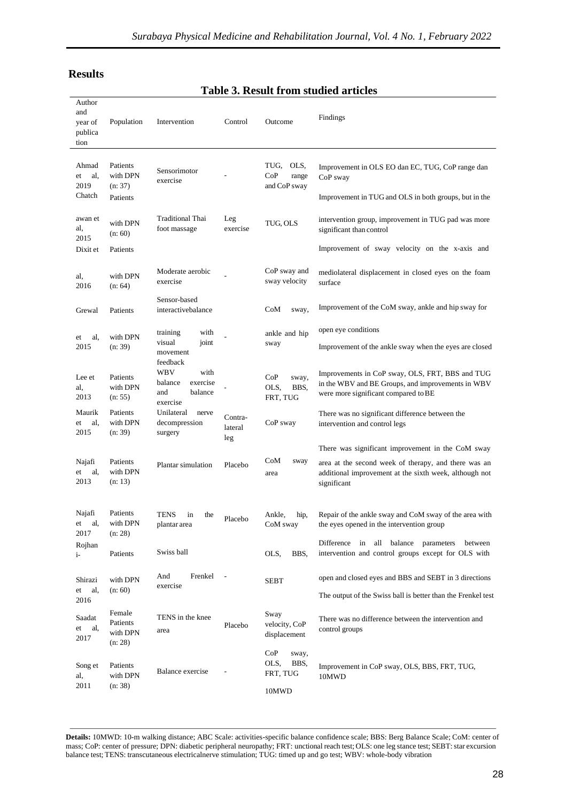## **Results**

**Table 3. Result from studied articles**

| Author<br>and<br>year of<br>publica<br>tion | Population                                  | Intervention                                                                 | Control                   | Outcome                                      | Findings                                                                                                                                     |
|---------------------------------------------|---------------------------------------------|------------------------------------------------------------------------------|---------------------------|----------------------------------------------|----------------------------------------------------------------------------------------------------------------------------------------------|
| Ahmad<br>al,<br>et<br>2019<br>Chatch        | Patients<br>with DPN<br>(n: 37)<br>Patients | Sensorimotor<br>exercise                                                     |                           | OLS,<br>TUG,<br>CoP<br>range<br>and CoP sway | Improvement in OLS EO dan EC, TUG, CoP range dan<br>CoP sway<br>Improvement in TUG and OLS in both groups, but in the                        |
| awan et<br>al,<br>2015                      | with DPN<br>(n: 60)                         | Traditional Thai<br>foot massage                                             | Leg<br>exercise           | TUG, OLS                                     | intervention group, improvement in TUG pad was more<br>significant than control                                                              |
| Dixit et                                    | Patients                                    |                                                                              |                           |                                              | Improvement of sway velocity on the x-axis and                                                                                               |
| al,<br>2016                                 | with DPN<br>(n: 64)                         | Moderate aerobic<br>exercise                                                 |                           | CoP sway and<br>sway velocity                | mediolateral displacement in closed eyes on the foam<br>surface                                                                              |
| Grewal                                      | Patients                                    | Sensor-based<br>interactivebalance                                           |                           | CoM<br>sway,                                 | Improvement of the CoM sway, ankle and hip sway for                                                                                          |
| al,<br>et                                   | with DPN                                    | with<br>training                                                             |                           | ankle and hip                                | open eye conditions                                                                                                                          |
| 2015                                        | (n: 39)                                     | joint<br>visual<br>movement                                                  |                           | sway                                         | Improvement of the ankle sway when the eyes are closed                                                                                       |
| Lee et<br>al.<br>2013                       | Patients<br>with DPN<br>(n: 55)             | feedback<br>WBV<br>with<br>exercise<br>balance<br>balance<br>and<br>exercise |                           | CoP<br>sway,<br>OLS,<br>BBS.<br>FRT, TUG     | Improvements in CoP sway, OLS, FRT, BBS and TUG<br>in the WBV and BE Groups, and improvements in WBV<br>were more significant compared to BE |
| Maurik<br>al,<br>et<br>2015                 | Patients<br>with DPN<br>(n: 39)             | Unilateral<br>nerve<br>decompression<br>surgery                              | Contra-<br>lateral<br>leg | CoP sway                                     | There was no significant difference between the<br>intervention and control legs                                                             |
|                                             |                                             |                                                                              |                           |                                              | There was significant improvement in the CoM sway                                                                                            |
| Najafi<br>al.<br>et<br>2013                 | Patients<br>with DPN<br>(n: 13)             | Plantar simulation                                                           | Placebo                   | CoM<br>sway<br>area                          | area at the second week of therapy, and there was an<br>additional improvement at the sixth week, although not<br>significant                |
| Najafi<br>et<br>al,<br>2017                 | Patients<br>with DPN<br>(n: 28)             | <b>TENS</b><br>in<br>the<br>plantar area                                     | Placebo                   | Ankle.<br>hip,<br>CoM sway                   | Repair of the ankle sway and CoM sway of the area with<br>the eyes opened in the intervention group                                          |
| Rojhan<br>$i-$                              | Patients                                    | Swiss ball                                                                   |                           | OLS,<br>BBS,                                 | Difference in all balance parameters<br>between<br>intervention and control groups except for OLS with                                       |
| Shirazi                                     | with DPN                                    | And<br>Frenkel                                                               | $\overline{\phantom{a}}$  | SEBT                                         | open and closed eyes and BBS and SEBT in 3 directions                                                                                        |
| al,<br>et<br>(n: 60)<br>2016                |                                             | exercise                                                                     |                           |                                              | The output of the Swiss ball is better than the Frenkel test                                                                                 |
| Saadat<br>et<br>al,<br>2017                 | Female<br>Patients<br>with DPN<br>(n: 28)   | TENS in the knee<br>area                                                     | Placebo                   | Sway<br>velocity, CoP<br>displacement        | There was no difference between the intervention and<br>control groups                                                                       |
| Song et<br>al,                              | Patients<br>with DPN                        | Balance exercise                                                             |                           | CoP<br>sway,<br>OLS,<br>BBS,<br>FRT, TUG     | Improvement in CoP sway, OLS, BBS, FRT, TUG,<br>10MWD                                                                                        |
| 2011                                        | (n: 38)                                     |                                                                              |                           | 10MWD                                        |                                                                                                                                              |

**Details:** 10MWD: 10-m walking distance; ABC Scale: activities-specific balance confidence scale; BBS: Berg Balance Scale; CoM: center of mass; CoP: center of pressure; DPN: diabetic peripheral neuropathy; FRT: unctional reach test; OLS: one leg stance test; SEBT:star excursion balance test; TENS: transcutaneous electricalnerve stimulation; TUG: timed up and go test; WBV: whole-body vibration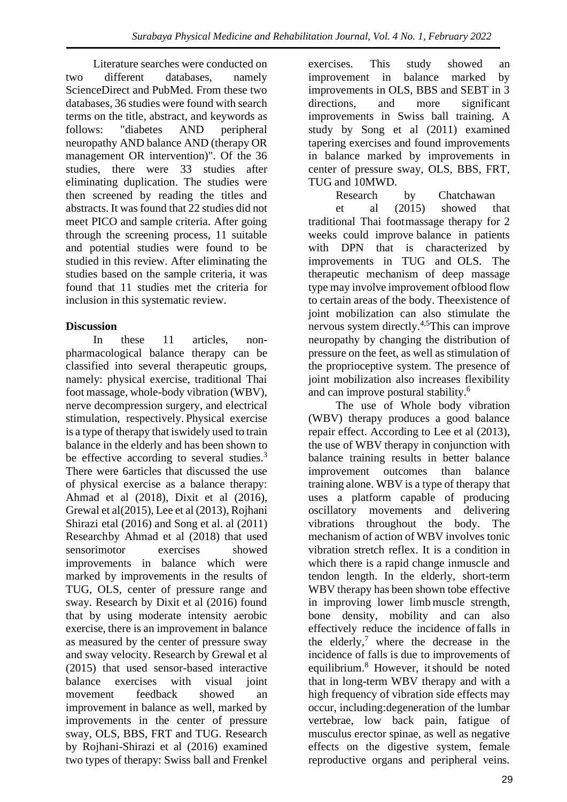Literature searches were conducted on two different databases, namely ScienceDirect and PubMed. From these two databases, 36 studies were found with search terms on the title, abstract, and keywords as follows: "diabetes AND peripheral neuropathy AND balance AND (therapy OR management OR intervention)". Of the 36 studies, there were 33 studies after eliminating duplication. The studies were then screened by reading the titles and abstracts. It was found that 22 studies did not meet PICO and sample criteria. After going through the screening process, 11 suitable and potential studies were found to be studied in this review. After eliminating the studies based on the sample criteria, it was found that 11 studies met the criteria for inclusion in this systematic review.

## **Discussion**

In these 11 articles, nonpharmacological balance therapy can be classified into several therapeutic groups, namely: physical exercise, traditional Thai foot massage, whole-body vibration (WBV), nerve decompression surgery, and electrical stimulation, respectively. Physical exercise is a type of therapy that iswidely used to train balance in the elderly and has been shown to be effective according to several studies.<sup>3</sup> There were 6articles that discussed the use of physical exercise as a balance therapy: Ahmad et al (2018), Dixit et al (2016), Grewal et al(2015), Lee et al (2013), Rojhani Shirazi etal (2016) and Song et al. al (2011) Researchby Ahmad et al (2018) that used sensorimotor exercises showed improvements in balance which were marked by improvements in the results of TUG, OLS, center of pressure range and sway. Research by Dixit et al (2016) found that by using moderate intensity aerobic exercise, there is an improvement in balance as measured by the center of pressure sway and sway velocity. Research by Grewal et al (2015) that used sensor-based interactive balance exercises with visual joint movement feedback showed an improvement in balance as well, marked by improvements in the center of pressure sway, OLS, BBS, FRT and TUG. Research by Rojhani-Shirazi et al (2016) examined two types of therapy: Swiss ball and Frenkel

exercises. This study showed an improvement in balance marked by improvements in OLS, BBS and SEBT in 3 directions, and more significant improvements in Swiss ball training. A study by Song et al (2011) examined tapering exercises and found improvements in balance marked by improvements in center of pressure sway, OLS, BBS, FRT, TUG and 10MWD.

Research by Chatchawan et al (2015) showed that traditional Thai footmassage therapy for 2 weeks could improve balance in patients with DPN that is characterized by improvements in TUG and OLS. The therapeutic mechanism of deep massage type may involve improvement ofblood flow to certain areas of the body. Theexistence of joint mobilization can also stimulate the nervous system directly.4,5This can improve neuropathy by changing the distribution of pressure on the feet, as well as stimulation of the proprioceptive system. The presence of joint mobilization also increases flexibility and can improve postural stability.<sup>6</sup>

The use of Whole body vibration (WBV) therapy produces a good balance repair effect. According to Lee et al (2013), the use of WBV therapy in conjunction with balance training results in better balance improvement outcomes than balance training alone. WBV is a type of therapy that uses a platform capable of producing oscillatory movements and delivering vibrations throughout the body. The mechanism of action of WBV involves tonic vibration stretch reflex. It is a condition in which there is a rapid change inmuscle and tendon length. In the elderly, short-term WBV therapy has been shown tobe effective in improving lower limb muscle strength, bone density, mobility and can also effectively reduce the incidence offalls in the elderly, $\frac{7}{7}$  where the decrease in the incidence of falls is due to improvements of equilibrium.<sup>8</sup> However, itshould be noted that in long-term WBV therapy and with a high frequency of vibration side effects may occur, including:degeneration of the lumbar vertebrae, low back pain, fatigue of musculus erector spinae, as well as negative effects on the digestive system, female reproductive organs and peripheral veins.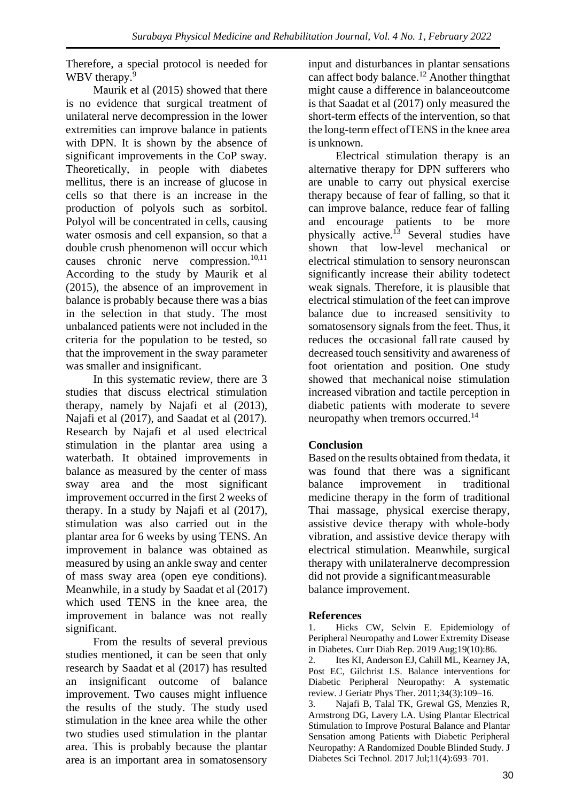Therefore, a special protocol is needed for WBV therapy.<sup>9</sup>

Maurik et al (2015) showed that there is no evidence that surgical treatment of unilateral nerve decompression in the lower extremities can improve balance in patients with DPN. It is shown by the absence of significant improvements in the CoP sway. Theoretically, in people with diabetes mellitus, there is an increase of glucose in cells so that there is an increase in the production of polyols such as sorbitol. Polyol will be concentrated in cells, causing water osmosis and cell expansion, so that a double crush phenomenon will occur which causes chronic nerve compression.<sup>10,11</sup> According to the study by Maurik et al (2015), the absence of an improvement in balance is probably because there was a bias in the selection in that study. The most unbalanced patients were not included in the criteria for the population to be tested, so that the improvement in the sway parameter was smaller and insignificant.

In this systematic review, there are 3 studies that discuss electrical stimulation therapy, namely by Najafi et al (2013), Najafi et al (2017), and Saadat et al (2017). Research by Najafi et al used electrical stimulation in the plantar area using a waterbath. It obtained improvements in balance as measured by the center of mass sway area and the most significant improvement occurred in the first 2 weeks of therapy. In a study by Najafi et al (2017), stimulation was also carried out in the plantar area for 6 weeks by using TENS. An improvement in balance was obtained as measured by using an ankle sway and center of mass sway area (open eye conditions). Meanwhile, in a study by Saadat et al (2017) which used TENS in the knee area, the improvement in balance was not really significant.

From the results of several previous studies mentioned, it can be seen that only research by Saadat et al (2017) has resulted an insignificant outcome of balance improvement. Two causes might influence the results of the study. The study used stimulation in the knee area while the other two studies used stimulation in the plantar area. This is probably because the plantar area is an important area in somatosensory input and disturbances in plantar sensations can affect body balance.<sup>12</sup> Another thing that might cause a difference in balanceoutcome is that Saadat et al (2017) only measured the short-term effects of the intervention, so that the long-term effect ofTENS in the knee area is unknown.

Electrical stimulation therapy is an alternative therapy for DPN sufferers who are unable to carry out physical exercise therapy because of fear of falling, so that it can improve balance, reduce fear of falling and encourage patients to be more physically active.<sup>13</sup> Several studies have shown that low-level mechanical or electrical stimulation to sensory neuronscan significantly increase their ability todetect weak signals. Therefore, it is plausible that electrical stimulation of the feet can improve balance due to increased sensitivity to somatosensory signals from the feet. Thus, it reduces the occasional fallrate caused by decreased touch sensitivity and awareness of foot orientation and position. One study showed that mechanical noise stimulation increased vibration and tactile perception in diabetic patients with moderate to severe neuropathy when tremors occurred.<sup>14</sup>

## **Conclusion**

Based on the results obtained from thedata, it was found that there was a significant balance improvement in traditional medicine therapy in the form of traditional Thai massage, physical exercise therapy, assistive device therapy with whole-body vibration, and assistive device therapy with electrical stimulation. Meanwhile, surgical therapy with unilateralnerve decompression did not provide a significantmeasurable balance improvement.

### **References**

1. Hicks CW, Selvin E. Epidemiology of Peripheral Neuropathy and Lower Extremity Disease in Diabetes. Curr Diab Rep. 2019 Aug;19(10):86.

2. Ites KI, Anderson EJ, Cahill ML, Kearney JA, Post EC, Gilchrist LS. Balance interventions for Diabetic Peripheral Neuropathy: A systematic review. J Geriatr Phys Ther. 2011;34(3):109–16.

3. Najafi B, Talal TK, Grewal GS, Menzies R, Armstrong DG, Lavery LA. Using Plantar Electrical Stimulation to Improve Postural Balance and Plantar Sensation among Patients with Diabetic Peripheral Neuropathy: A Randomized Double Blinded Study. J Diabetes Sci Technol. 2017 Jul;11(4):693–701.